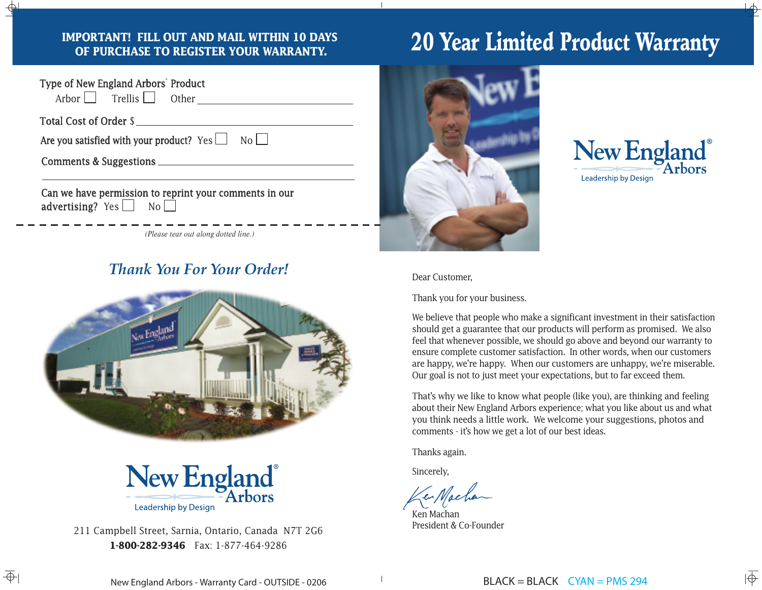#### **IMPORTANT! FILL OUT AND MAIL WITHIN 10 DAYS OF PURCHASE TO REGISTER YOUR WARRANTY.**

| Type of New England Arbors' Product<br>Arbor $\Box$ Trellis $\Box$ Other                    |  |  |  |
|---------------------------------------------------------------------------------------------|--|--|--|
| Total Cost of Order \$                                                                      |  |  |  |
| Are you satisfied with your product? $Yes \Box$ No                                          |  |  |  |
|                                                                                             |  |  |  |
| Can we have permission to reprint your comments in our<br>advertising? Yes $\Box$ No $\Box$ |  |  |  |
| (Please tear out along dotted line.)                                                        |  |  |  |

### *Thank You For Your Order!*





211 Campbell Street, Sarnia, Ontario, Canada N7T 2G6 **1-800-282-9346** Fax: 1-877-464-9286

# 20 Year Limited Product Warranty





#### Dear Customer,

Thank you for your business.

We believe that people who make a significant investment in their satisfaction should get a guarantee that our products will perform as promised. We also feel that whenever possible, we should go above and beyond our warranty to ensure complete customer satisfaction. In other words, when our customers are happy, we're happy. When our customers are unhappy, we're miserable. Our goal is not to just meet your expectations, but to far exceed them.

That's why we like to know what people (like you), are thinking and feeling about their New England Arbors experience; what you like about us and what you think needs a little work. We welcome your suggestions, photos and comments - it's how we get a lot of our best ideas.

Thanks again.

Sincerely,

Ken Machan President & Co-Founder